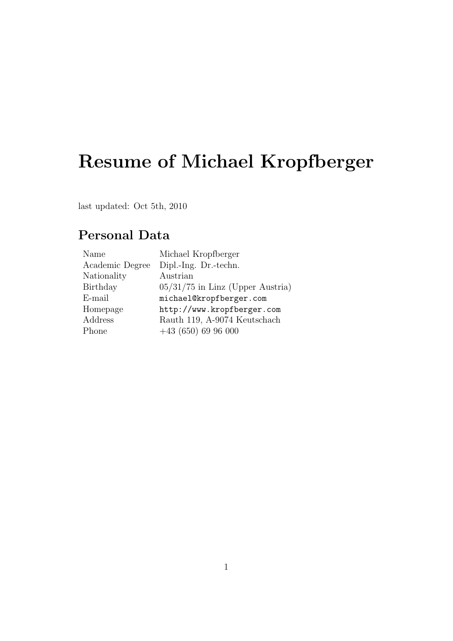# Resume of Michael Kropfberger

last updated: Oct 5th, 2010

## Personal Data

| Name            | Michael Kropfberger                |
|-----------------|------------------------------------|
| Academic Degree | Dipl.-Ing. Dr.-techn.              |
| Nationality     | Austrian                           |
| Birthday        | $05/31/75$ in Linz (Upper Austria) |
| E-mail          | michael@kropfberger.com            |
| Homepage        | http://www.kropfberger.com         |
| Address         | Rauth 119, A-9074 Keutschach       |
| Phone           | $+43(650)6996000$                  |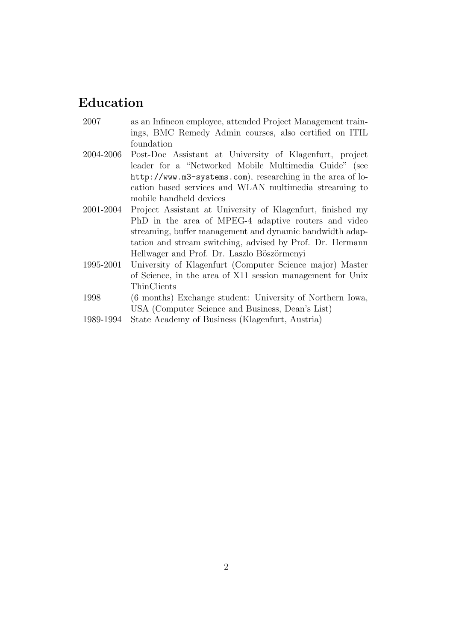#### Education

- 2007 as an Infineon employee, attended Project Management trainings, BMC Remedy Admin courses, also certified on ITIL foundation
- 2004-2006 Post-Doc Assistant at University of Klagenfurt, project leader for a "Networked Mobile Multimedia Guide" (see http://www.m3-systems.com), researching in the area of location based services and WLAN multimedia streaming to mobile handheld devices
- 2001-2004 Project Assistant at University of Klagenfurt, finished my PhD in the area of MPEG-4 adaptive routers and video streaming, buffer management and dynamic bandwidth adaptation and stream switching, advised by Prof. Dr. Hermann Hellwager and Prof. Dr. Laszlo Böszörmenyi
- 1995-2001 University of Klagenfurt (Computer Science major) Master of Science, in the area of X11 session management for Unix ThinClients
- 1998 (6 months) Exchange student: University of Northern Iowa, USA (Computer Science and Business, Dean's List)
- 1989-1994 State Academy of Business (Klagenfurt, Austria)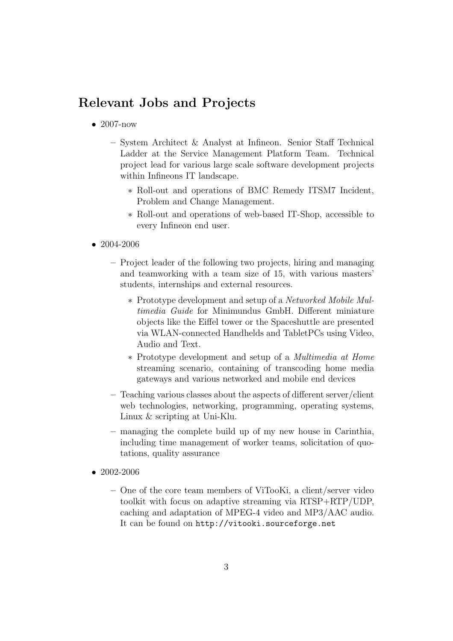#### Relevant Jobs and Projects

- $\bullet$  2007-now
	- System Architect & Analyst at Infineon. Senior Staff Technical Ladder at the Service Management Platform Team. Technical project lead for various large scale software development projects within Infineons IT landscape.
		- ∗ Roll-out and operations of BMC Remedy ITSM7 Incident, Problem and Change Management.
		- ∗ Roll-out and operations of web-based IT-Shop, accessible to every Infineon end user.
- 2004-2006
	- Project leader of the following two projects, hiring and managing and teamworking with a team size of 15, with various masters' students, internships and external resources.
		- ∗ Prototype development and setup of a Networked Mobile Multimedia Guide for Minimundus GmbH. Different miniature objects like the Eiffel tower or the Spaceshuttle are presented via WLAN-connected Handhelds and TabletPCs using Video, Audio and Text.
		- ∗ Prototype development and setup of a Multimedia at Home streaming scenario, containing of transcoding home media gateways and various networked and mobile end devices
	- Teaching various classes about the aspects of different server/client web technologies, networking, programming, operating systems, Linux & scripting at Uni-Klu.
	- managing the complete build up of my new house in Carinthia, including time management of worker teams, solicitation of quotations, quality assurance
- 2002-2006
	- One of the core team members of ViTooKi, a client/server video toolkit with focus on adaptive streaming via RTSP+RTP/UDP, caching and adaptation of MPEG-4 video and MP3/AAC audio. It can be found on http://vitooki.sourceforge.net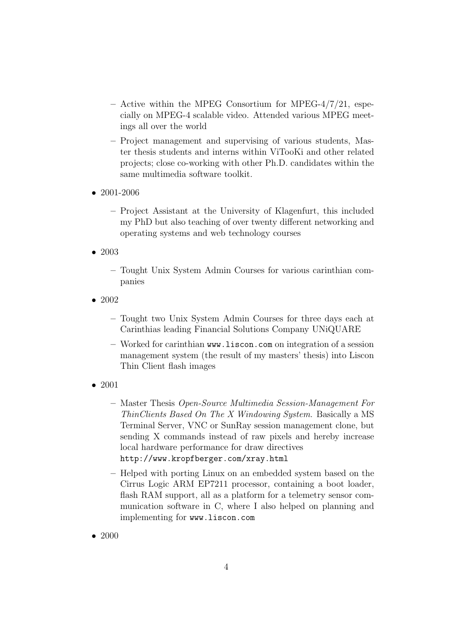- $-$  Active within the MPEG Consortium for MPEG-4/7/21, especially on MPEG-4 scalable video. Attended various MPEG meetings all over the world
- Project management and supervising of various students, Master thesis students and interns within ViTooKi and other related projects; close co-working with other Ph.D. candidates within the same multimedia software toolkit.
- 2001-2006
	- Project Assistant at the University of Klagenfurt, this included my PhD but also teaching of over twenty different networking and operating systems and web technology courses
- 2003
	- Tought Unix System Admin Courses for various carinthian companies
- 2002
	- Tought two Unix System Admin Courses for three days each at Carinthias leading Financial Solutions Company UNiQUARE
	- Worked for carinthian www.liscon.com on integration of a session management system (the result of my masters' thesis) into Liscon Thin Client flash images
- 2001
	- Master Thesis Open-Source Multimedia Session-Management For ThinClients Based On The X Windowing System. Basically a MS Terminal Server, VNC or SunRay session management clone, but sending X commands instead of raw pixels and hereby increase local hardware performance for draw directives http://www.kropfberger.com/xray.html
	- Helped with porting Linux on an embedded system based on the Cirrus Logic ARM EP7211 processor, containing a boot loader, flash RAM support, all as a platform for a telemetry sensor communication software in C, where I also helped on planning and implementing for www.liscon.com
- 2000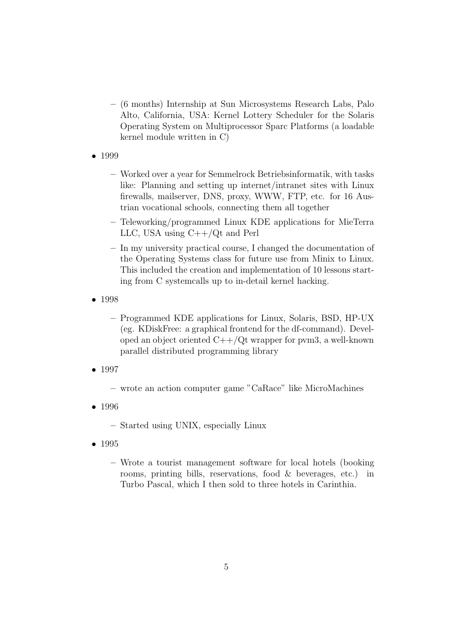- (6 months) Internship at Sun Microsystems Research Labs, Palo Alto, California, USA: Kernel Lottery Scheduler for the Solaris Operating System on Multiprocessor Sparc Platforms (a loadable kernel module written in C)
- 1999
	- Worked over a year for Semmelrock Betriebsinformatik, with tasks like: Planning and setting up internet/intranet sites with Linux firewalls, mailserver, DNS, proxy, WWW, FTP, etc. for 16 Austrian vocational schools, connecting them all together
	- Teleworking/programmed Linux KDE applications for MieTerra LLC, USA using C++/Qt and Perl
	- In my university practical course, I changed the documentation of the Operating Systems class for future use from Minix to Linux. This included the creation and implementation of 10 lessons starting from C systemcalls up to in-detail kernel hacking.
- 1998
	- Programmed KDE applications for Linux, Solaris, BSD, HP-UX (eg. KDiskFree: a graphical frontend for the df-command). Developed an object oriented  $C++/Qt$  wrapper for pvm3, a well-known parallel distributed programming library
- 1997
	- wrote an action computer game "CaRace" like MicroMachines
- 1996
	- Started using UNIX, especially Linux
- 1995
	- Wrote a tourist management software for local hotels (booking rooms, printing bills, reservations, food & beverages, etc.) in Turbo Pascal, which I then sold to three hotels in Carinthia.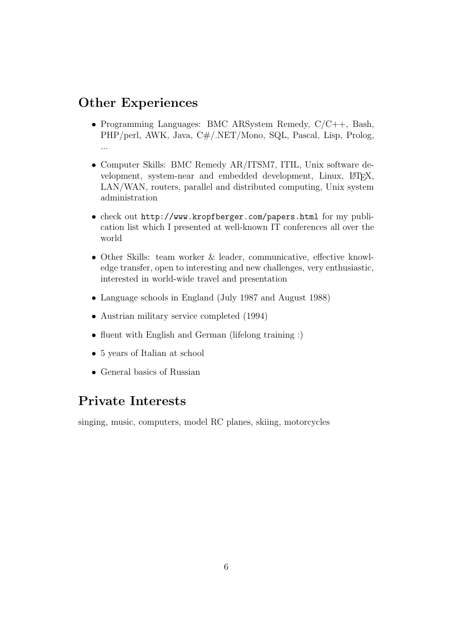#### Other Experiences

- Programming Languages: BMC ARSystem Remedy, C/C++, Bash, PHP/perl, AWK, Java, C#/.NET/Mono, SQL, Pascal, Lisp, Prolog, ...
- Computer Skills: BMC Remedy AR/ITSM7, ITIL, Unix software development, system-near and embedded development, Linux, LATEX, LAN/WAN, routers, parallel and distributed computing, Unix system administration
- check out http://www.kropfberger.com/papers.html for my publication list which I presented at well-known IT conferences all over the world
- Other Skills: team worker & leader, communicative, effective knowledge transfer, open to interesting and new challenges, very enthusiastic, interested in world-wide travel and presentation
- Language schools in England (July 1987 and August 1988)
- Austrian military service completed (1994)
- fluent with English and German (lifelong training :)
- 5 years of Italian at school
- General basics of Russian

### Private Interests

singing, music, computers, model RC planes, skiing, motorcycles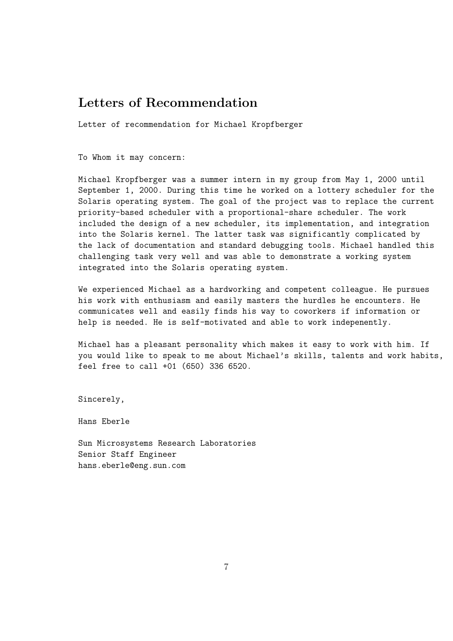#### Letters of Recommendation

Letter of recommendation for Michael Kropfberger

To Whom it may concern:

Michael Kropfberger was a summer intern in my group from May 1, 2000 until September 1, 2000. During this time he worked on a lottery scheduler for the Solaris operating system. The goal of the project was to replace the current priority-based scheduler with a proportional-share scheduler. The work included the design of a new scheduler, its implementation, and integration into the Solaris kernel. The latter task was significantly complicated by the lack of documentation and standard debugging tools. Michael handled this challenging task very well and was able to demonstrate a working system integrated into the Solaris operating system.

We experienced Michael as a hardworking and competent colleague. He pursues his work with enthusiasm and easily masters the hurdles he encounters. He communicates well and easily finds his way to coworkers if information or help is needed. He is self-motivated and able to work indepenently.

Michael has a pleasant personality which makes it easy to work with him. If you would like to speak to me about Michael's skills, talents and work habits, feel free to call +01 (650) 336 6520.

Sincerely,

Hans Eberle

Sun Microsystems Research Laboratories Senior Staff Engineer hans.eberle@eng.sun.com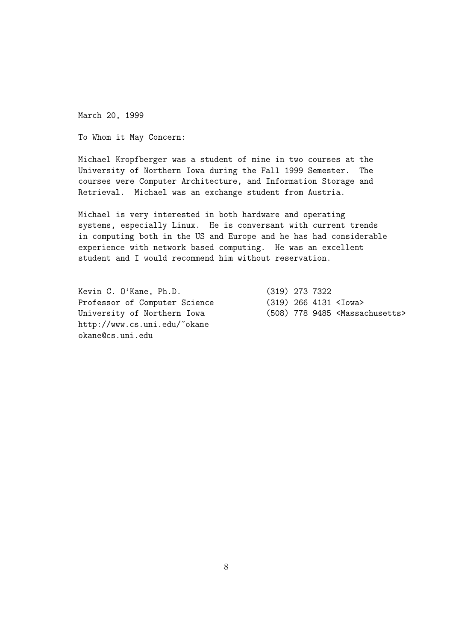March 20, 1999

To Whom it May Concern:

Michael Kropfberger was a student of mine in two courses at the University of Northern Iowa during the Fall 1999 Semester. The courses were Computer Architecture, and Information Storage and Retrieval. Michael was an exchange student from Austria.

Michael is very interested in both hardware and operating systems, especially Linux. He is conversant with current trends in computing both in the US and Europe and he has had considerable experience with network based computing. He was an excellent student and I would recommend him without reservation.

Kevin C. O'Kane, Ph.D. (319) 273 7322 Professor of Computer Science (319) 266 4131 <Iowa> http://www.cs.uni.edu/~okane okane@cs.uni.edu

University of Northern Iowa (508) 778 9485 <Massachusetts>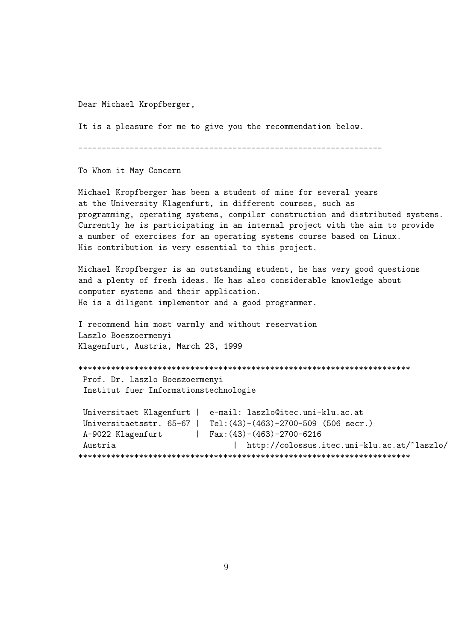Dear Michael Kropfberger,

It is a pleasure for me to give you the recommendation below.

-----------------------------------------------------------------

To Whom it May Concern

Michael Kropfberger has been a student of mine for several years at the University Klagenfurt, in different courses, such as programming, operating systems, compiler construction and distributed systems. Currently he is participating in an internal project with the aim to provide a number of exercises for an operating systems course based on Linux. His contribution is very essential to this project.

Michael Kropfberger is an outstanding student, he has very good questions and a plenty of fresh ideas. He has also considerable knowledge about computer systems and their application. He is a diligent implementor and a good programmer.

I recommend him most warmly and without reservation Laszlo Boeszoermenyi Klagenfurt, Austria, March 23, 1999

\*\*\*\*\*\*\*\*\*\*\*\*\*\*\*\*\*\*\*\*\*\*\*\*\*\*\*\*\*\*\*\*\*\*\*\*\*\*\*\*\*\*\*\*\*\*\*\*\*\*\*\*\*\*\*\*\*\*\*\*\*\*\*\*\*\*\*\*\*\*\* Prof. Dr. Laszlo Boeszoermenyi Institut fuer Informationstechnologie

```
Universitaet Klagenfurt | e-mail: laszlo@itec.uni-klu.ac.at
Universitaetsstr. 65-67 | Tel:(43)-(463)-2700-509 (506 secr.)
A-9022 Klagenfurt | Fax: (43)-(463)-2700-6216
Austria |\text{http://colossus.itec.uni-klu.ac.at/~laszlo/}***********************************************************************
```